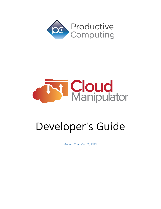



# Developer's Guide

*Revised November 18, 2020*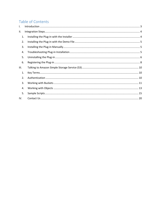# Table of Contents

| $\mathsf{L}$ |  |
|--------------|--|
| Ш.           |  |
| 1.           |  |
| 2.           |  |
| 3.           |  |
| 4.           |  |
| 5.           |  |
| 6.           |  |
| III.         |  |
| 1.           |  |
| 2.           |  |
| 3.           |  |
| 4.           |  |
| 5.           |  |
| IV.          |  |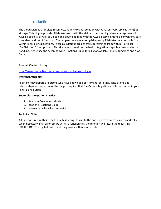# <span id="page-2-0"></span>I. Introduction

The Cloud Manipulator plug-in connects your FileMaker solution with Amazon Web Services (AWS) S3 storage. This plug-in provides FileMaker users with the ability to perform high-level management of AWS S3 buckets, as well as upload and download files with the AWS S3 service, using a convenient, easyto-understand set of functions. These operations are accomplished using FileMaker function calls from within FileMaker calculations. These calculations are generally determined from within FileMaker "SetField" or "If" script steps. This document describes the basic integration steps, features, and error handling. Please see the accompanying Functions Guide for a list of available plug-in functions and AWS fields.

#### **Product Version History**

#### <http://www.productivecomputing.com/aws-filemaker-plugin>

#### **Intended Audience**

FileMaker developers or persons who have knowledge of FileMaker scripting, calculations and relationships as proper use of the plug-in requires that FileMaker integration scripts be created in your FileMaker solution.

#### **Successful Integration Practices**

- 1. Read the Developer's Guide
- 2. Read the Functions Guide
- 3. Review our FileMaker Demo file

#### **Technical Note**

<span id="page-2-1"></span>All functions return their results as a text string. It is up to the end user to convert this returned value when necessary. If an error occurs within a function call, the function will return the text string "!!ERROR!!". This my help with capturing errors within your scripts.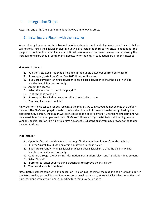# II. Integration Steps

<span id="page-3-0"></span>Accessing and using the plug-in functions involve the following steps.

## 1. Installing the Plug-in with the Installer

We are happy to announce the introduction of installers for our latest plug-in releases. These installers will not only install the FileMaker plug-in, but will also install the third-party software needed for the plug-in to function, the demo file, and additional resources you may need. We recommend using the installers to ensure that all components necessary for the plug-in to function are properly installed.

#### **Windows Installer:**

- 1. Run the "setup.exe" file that is included in the bundle downloaded from our website.
- 2. If prompted, install the Visual C++ 2013 Runtime Libraries
- 3. If you are currently running FileMaker, please close FileMaker so that the plug-in will be installed and initialized correctly.
- 4. Accept the license
- 5. Select the location to install the plug-in\*
- 6. Confirm the installation
- 7. If prompted by Windows security, allow the installer to run
- 8. Your installation is complete!

\*In order for FileMaker to properly recognize the plug-in, we suggest you do not change this default location. The FileMaker plug-in needs to be installed in a valid Extensions folder recognized by the application. By default, the plug-in will be installed to the base FileMaker/Extensions directory and will be accessible across multiple versions of FileMaker. However, if you wish to install the plug-in at a version-specific location like "FileMaker Pro Advanced 16/Extensions", you may browse to the folder location to do so.

#### **Mac Installer:**

- 1. Open the "Install Cloud Manipulator.dmg" file that you downloaded from the website
- 2. Run the "Install Cloud Manipulator" application in the installer
- 3. If you are currently running FileMaker, please close FileMaker so that the plug-in will be installed and initialized correctly
- 4. Continue through the Licensing Information, Destination Select, and Installation Type screens
- 5. Select "Install"
- 6. If prompted, enter your machine credentials to approve the installation
- 7. Your installation is complete!

<span id="page-3-1"></span>Note: Both installers come with an application (.exe or .pkg) to install the plug-in and an Extras folder. In the Extras folder, you will find additional resources such as License, README, FileMaker Demo file, and plug-ins, along with any optional supporting files that may be included.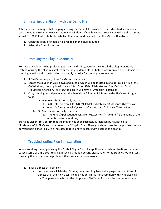# 2. Installing the Plug-in with the Demo File

Alternatively, you may install the plug-in using the Demo File provided in the Extras folder that came with the bundle from our website. Note: For Windows, if you have not already, you will need to run the Visual C++ 2013 Redistributable installers that you can download from the Microsoft website.

- 1. Open the FileMaker demo file available in the plug-in bundle
- 2. Select the "Install" button

## <span id="page-4-0"></span>3. Installing the Plug-in Manually

For those developers who prefer to get their hands dirty, you can also install the plug-in manually instead of using the plug-in installers or the plug-in demo file. As before, any required dependencies of the plug-in will need to be installed separately in order for the plug-in to function.

- 1. If FileMaker is open, close FileMaker completely
- 2. Locate the plug-in in your download bundle which will be located in a folder called "Plug-ins". On Windows, the plug-in will have a ".fmx" (for 32-bit FileMaker) or ".fmx64" (for 64-bit FileMaker) extension. For Mac, the plug-in will have a ".fmplugin" extension.
- 3. Copy the plug-in and paste it into the Extensions folder which is inside the FileMaker Program folder.
	- 1. On Windows, this is normally located at:
		- 1. 32Bit: "C:\Program Files (x86)\FileMaker\FileMaker # [Advanced]\Extensions"
		- 2. 64Bit: "C:\Program Files\FileMaker\FileMaker # [Advanced]\Extensions"
	- b. On Mac, this is normally located at:
		- 1. "(Volume)/Applications/FileMaker #/Extensions" ("Volume" is the name of the mounted volume or drive)

Start FileMaker Pro. Confirm that the plug-in has been successfully installed by navigating to "Preferences" in FileMaker, then select the "Plug-ins" tab. There you should see the plug-in listed with a corresponding check box. This indicates that you have successfully installed the plug-in.

## <span id="page-4-1"></span>4. Troubleshooting Plug-in Installation

When installing the plug-in using the "Install Plug-in" script step, there are certain situations that may cause a 1550 or 1551 error to arise. If such a situation occurs, please refer to the troubleshooting steps involving the most common problems that may cause those errors.

- 1. Invalid Bitness of FileMaker
	- a. In some cases, FileMaker Pro may be attempting to install a plug-in with a different bitness than the FileMaker Pro application. This is most common with Windows plugins. The general rule is that the plug-in and FileMaker Pro must be the same bitness.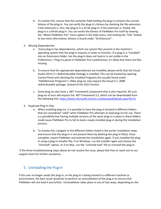- b. To resolve this, ensure that the container field holding the plug-in contains the correct bitness of the plug-in. You can verify the plug-in's bitness by checking the file extension: if the extension is .fmx, the plug-in is a 32-bit plug-in; if the extension is .fmx64, the plug-in is a 64-bit plug-in. You can verify the bitness of FileMaker Pro itself by viewing the "About FileMaker Pro" menu option in the Help menu, and clicking the "Info" button to see more information; bitness is found under "Architecture".
- 2. Missing Dependencies
	- a. Every plug-in has dependencies, which are system files present in the machine's operating system that the plug-in requires in order to function. If a plug-in is "installed" into an Extensions folder, but the plug-in does not load or is not visible in the Preferences > Plug-ins panel in FileMaker Pro's preferences, it's likely that there are files missing.
	- b. To ensure that the appropriate dependencies are installed, please verify that the Visual Studio 2013 C++ Redistributable Package is installed. This can be located by opening Control Panel and checking the Installed Programs list (usually found under "Add/Remove Programs"). Older plug-ins may require the Visual C++ 2008 redistributable package, instead of the 2013 version.
	- c. Some plug-ins also have a .NET Framework component that is also required. All such plug-ins of ours will require the .NET Framework 3.5, which can be downloaded from the following link:<https://www.microsoft.com/en-us/download/details.aspx?id=21>
- 3. Duplicate Plug-in Files
	- a. When installing plug-ins, it is possible to have the plug-in located in different folders that are considered "valid" when FileMaker Pro attempts to load plug-ins for use. There is a possibility that having multiple versions of the same plug-in in place in these folders could cause FileMaker Pro to fail to load a newly-installed plug-in during the installation process.
	- b. To resolve this, navigate to the different folders listed in the earlier installation steps and ensure that the plug-in is not present there by deleting the plug-in file(s). Once complete, restart FileMaker and attempt the installation again. If you installed the plugin using a plug-in installer file, if on Windows, run the installer again and choose the "Uninstall" option, or if on Mac, run the "uninstall.tool" file to uninstall the plug-in.

If the three troubleshooting steps above do not resolve the issue, please feel free to reach out to our support team for further assistance.

## <span id="page-5-0"></span>5. Uninstalling the Plug-in

If the user no longer needs the plug-in, or the plug-in is being moved to a different machine or environment, the best result would be to perform an uninstallation of the plug-in to ensure that FileMaker will not load it any further. Uninstallation takes place in one of two ways, depending on the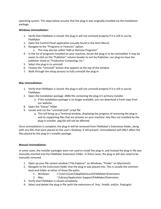operating system. The steps below assume that the plug-in was originally installed via the installation package.

#### **Windows Uninstallation:**

- 1. Verify that FileMaker is closed; the plug-in will not uninstall properly if it is still in use by FileMaker
- 2. Open the Control Panel application (usually found in the Start Menu)
- 3. Navigate to the "Programs or Features" option
	- a. This may also be called "Add or Remove Programs"
- 4. In the list of programs installed on your machine, locate the plug-in to be uninstalled. It may be easier to click on the "Publisher" column header to sort by Publisher; our plug-ins have the publisher listed as "Productive Computing, Inc."
- 5. Select the plug-in to uninstall
- 6. Choose the "Uninstall" button that appears at the top of the window
- 7. Walk through the setup process to fully uninstall the plug-in

#### **Mac Uninstallation:**

- 1. Verify that FileMaker is closed; the plug-in will not uninstall properly if it is still in use by FileMaker.
- 2. Open the installation package .DMG file containing the plug-in's primary installer
	- a. If the installation package is no longer available, you can download a fresh copy from our website.
- 8. Open the "Extras" folder
- 9. Locate and run the "uninstall.tool" script file
	- a. This will bring up a Terminal window, displaying the progress of removing the plug-in and its supporting files that are present on your machine. Any files not installed by the plug-in installer .pkg file will not be affected.

Once uninstallation is complete, the plug-in will be removed from FileMaker's Extensions folder, along with any files that were placed on the user's Desktop, if still present. Uninstallation will ONLY affect the files placed by the plug-in's installer package.

#### **Manual Uninstallation:**

In some cases, the installer packages were not used to install the plug-in, and instead the plug-in file was manually inserted into the FileMaker Extensions folder. In these cases, the plug-in will also need to be manually removed.

- 1. Open up your file system window ("File Explorer" on Windows, "Finder" on Macintosh)
- 2. Navigate to the Extensions folder that the plug-in was placed into. This is usually the common back-end folder at either of these file paths:
	- 1. Windows: C:\Users\(user)\AppData\Local\FileMaker\Extensions
	- 2. Mac: ~/Library/Application Support/FileMaker/Extensions
- 3. Verify that FileMaker is closed completely
- 4. Select and delete the plug-in file (with the extensions of .fmx, .fmx64, and/or .fmplugin)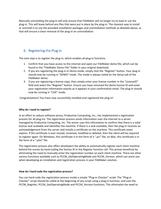Manually uninstalling the plug-in will only ensure that FileMaker will no longer try to load or use the plug-in. This will leave behind any files that were put in place by the plug-in. The cleanest way to install or uninstall is to use the provided installation packages and uninstallation methods as detailed above, as that will ensure a clean removal of the plug-in on uninstallation.

# <span id="page-7-0"></span>6. Registering the Plug-in

The next step is to register the plug-in, which enables all plug-in functions.

- 1. Confirm that you have access to the internet and open our FileMaker demo file, which can be found in the "FileMaker Demo File" folder in your original download.
- 2. If you are registering the plug-in in Demo mode, simply click the "Register" button. Your plug-in should now be running in "DEMO" mode. The mode is always noted on the Setup tab of the FileMaker demo.
- 3. If you are registering a license copy, then simply enter your license number in the "LicenseID" field and select the "Register" button. Ensure you have removed the demo license ID and enter your registration information exactly as it appears in your confirmation email. The plug-in should now be running in "LIVE" mode.

Congratulations! You have now successfully installed and registered the plug-in!

#### **Why do I need to register?**

In an effort to reduce software piracy, Productive Computing, Inc., has implemented a registration process for all plug-ins. The registration process sends information over the internet to a server managed by Productive Computing, Inc. The server uses this information to confirm that there is a valid license seat available and identifies the machine. If there is a seat available, then the plug-in receives an acknowledgement from the server and installs a certificate on the machine. This certificate never expires. If the certificate is ever moved, renamed, modified or deleted, then the client will be required to register again. On Windows, this certificate is in the form of a ".pci" file; on Mac, this certificate is in the form of a ".plist" file.

The registration process also offers developers the ability to automatically register each client machine behind the scenes by hard-coding the license ID in the Register function call. This proves beneficial by eliminating the need to manually enter the registration number on each client machine. There are other various functions available such as PCCM\_GetOperatingMode and PCCM\_Version, which can assist you when developing an installation and registration process in your FileMaker solution.

#### **How do I hard-code the registration process?**

You can hard-code the registration process inside a simple "Plug-in Checker" script. The "Plug-in Checker" script should be called at the beginning of any script using a plug-in function, and uses the PCCM\_Register, PCCM\_GetOperatingMode and PCCM\_Version functions. This eliminates the need to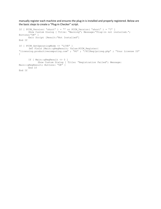manually register each machine and ensures the plug-in is installed and properly registered. Below are the basic steps to create a "Plug-in Checker" script.

```
If [ PCCM Version( "short" ) = "" or PCCM Version( "short" ) = "?" ]
       Show Custom Dialog [ Title: "Warning"; Message:"Plug-in not installed."; 
Buttons:"OK" ]
      Exit Script [Result:"Not Installed"]
End If
If [ PCCM_GetOperatingMode <> "LIVE" ]
        Set Field [Main::gRegResult; Value:PCCM_Register( 
"licensing.productivecomputing.com" ; "80" ; "/PCIReg/pcireg.php" ; "Your License ID" 
\mathbf{I}If [ Main::gRegResult <> 0 ]
              Show Custom Dialog [ Title: "Registration Failed"; Message: 
Main::gRegResult; Buttons: "OK" ]
      End If
End If
```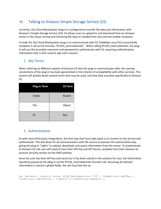# <span id="page-9-0"></span>III. Talking to Amazon Simple Storage Service (S3)

Currently, the Cloud Manipulator plug-in is configured to transfer file data and information with Amazon's Simple Storage Service (S3). S3 allows users to upload to and download from an Amazon server in the cloud, storing and retrieving file data as needed from any internet-enable computer.

In order for the Cloud Manipulator plug-in to communicate with S3, FileMaker must first successfully complete a call to the function "PCCM\_UseCredentials". When calling PCCM\_UseCredentials, the plugin will use the provided username and password to authenticate with S3, acquiring authentication information that is then used to sign each request.

# <span id="page-9-1"></span>1. Key Terms

When referring to different aspects of Amazon S3 that the plug-in communicates with, the naming conventions of the plug-in has been generalized in the interest of compatibility with other services. This section will quickly detail several terms that may be used, and how they translate specifically to Amazon S3.

| <b>Plug-in Term</b> | S3 Term       |
|---------------------|---------------|
| Folder              | <b>Bucket</b> |
| File                | Object        |
| ID                  | Key           |

# <span id="page-9-2"></span>2. Authentication

As with most third-party integrations, the first step that must take place is to connect to the service and authenticate. This will allow for all communication with the service to possess the authorization key, giving the plug-in "rights" to upload, download, and query information from the server. To authenticate to Amazon S3, the user will need to have their API Key and API Secret, available from their Amazon S3 account security section on the AWS website.

Once the user has their API key and secret (or it has been stored in the solution for use), the information should be passed to the plug-in via the PCCM\_UseCredentials function call. Assuming all relevant information is stored in global fields, the call may look like so:

```
Set Variable [ $result; Value: PCCM UseCredentials( "S3" ; Credentials::gAPIKey ;
Credentials::gAPISecret ; "region=" & Credentials::gRegion )]
```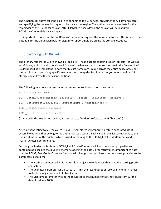The function call above tells the plug-in to connect to the S3 service, providing the API key and secret and specifying the connection region to be the chosen region. The authentication value lasts for the remainder of the FileMaker session; after FileMaker closes down, the session will be lost until PCCM\_UseCredentials is called again.

It's important to note that the "optParams" parameter requires the key=value format. This is due to the potential for the Cloud Manipulator plug-in to support multiple online file storage locations.

## <span id="page-10-0"></span>3. Working with Buckets

The primary folders for S3 are known as "buckets". These buckets contain files, or "objects", as well as sub-folders, which are also considered "objects". When setting up buckets for use in the Amazon AWS S3 dashboard, it is important to note that bucket names are unique across the entire space of S3, not just within the scope of any specific user's account. Keep this fact in mind as you seek to roll out S3 storage capability with your client solutions.

The following functions are used when accessing bucket information or contents:

```
PCCM_ListAllFolders
PCCM FetchFolderContents( FolderID ; Prefix ; Delimiter ; MaxKeys )
PCCM GetPropertyForFolder( PropertyName ; ContentIndex )
PCCM CreateFolder( FolderID )
PCCM DeleteFolder( FolderID )
```
(As stated in the Key Terms section, all reference to "folders" refers to the S3 "buckets".)

After authenticating to S3, the call to PCCM\_ListAllFolders will generate a return-separated list of accessible buckets that belong to the authenticated account. Each value in the list corresponds to the unique identifier of the bucket, which is used for passing to the PCCM\_FetchFolderContents and PCCM\_DeleteFolder functions.

Fetching the folder contents with PCCM\_FetchFolderContents will load the bucket properties and contained objects into the plug-in's memory, opening the data up for retrieval. It's important to note that the PCCM\_FetchFolderContents function will change its output based on the values provided to the parameters as follows:

- The Prefix parameter will limit the resulting objects to only those that have the starting prefix characters
- The Delimiter parameter will, if set to " $\frac{1}{2}$ ", limit the resulting set of records in memory to just folder-type objects instead of object keys
- The MaxKeys parameter will set the result set to that number of keys to return from S3; the default value is 1000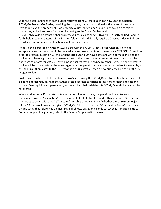With the details and files of each bucket retrieved from S3, the plug-in can now use the function PCCM\_GetPropertyForFolder, providing the property name and, optionally, the index of the content item to retrieve the property of. Two property values, "Keys" and "Count", are available as folder properties, and will return information belonging to the folder fetched with PCCM FetchFolderContents. Other property values, such as "Key", "OwnerID", "LastModified", and so forth, belong to the contents of the fetched folder, and additionally require a 0-based index to indicate for which content object the function should retrieve data.

Folders can be created on Amazon AWS S3 through the PCCM\_CreateFolder function. This folder accepts a name for the bucket to be created, and returns either 0 for success or an "!!ERROR!!" result. In order to create a bucket on S3, the authenticated user must have sufficient write permissions, and the bucket must have a globally-unique name; that is, the name of the bucket must be unique across the entire scope of Amazon AWS S3, even among buckets that are owned by other users. The newly-created bucket will be located within the same region that the plug-in has been authenticated to; for example, if the plug-in authenticates to the US Oregon region (us-west-2), then a new bucket will be part of the US Oregon region.

Folders can also be deleted from Amazon AWS S3 by using the PCCM\_DeleteFolder function. The act of deleting a folder requires that the authenticated user has sufficient permissions to delete objects and folders. Deleting folders is permanent, and any folder that is deleted via PCCM\_DeleteFolder cannot be recovered.

<span id="page-11-0"></span>When working with S3 buckets containing large volumes of data, the plug-in will need to use a technique known as "pagination" to process the full set of objects found within a bucket. S3 offers two properties to assist with that: "IsTruncated", which is a boolean flag of whether there are more objects left on S3 that would work for a given PCCM\_GetFolder request; and "ContinuationToken", which is a unique string that references the next page of objects on S3, and is only set when IsTruncated is true. For an example of pagination, refer to the Sample Scripts section below.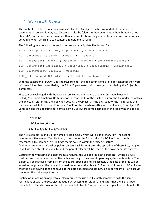# 4. Working with Objects

The contents of folders are also known as "objects". An object can be any kind of file: an image, a document, an archive folder, etc. Objects can also be folders in their own right, although they are not "buckets", but rather compartments within a bucket for branching where files are stored. A bucket can contain a folder, which also can contain a folder, and so forth.

The following functions can be used to access and manipulate file data on S3:

```
PCCM GetPropertyForFolder( PropertyName ; ContentIndex )
PCCM GetObject ( FolderID ; ObjectID ; FilePath )
PCCM PostObject( FolderID ; ObjectID ; FilePath ; optDeleteAfterPost )
PCCM CopyObject( SrcFolderID ; SrcObjectID ; DestFolderID ; DestObjectID )
PCCM DeleteObject( FolderID ; ObjectID )
PCCM GetPresignedURL( FolderID ; ObjectID ; optExpireMinutes )
```
With the exception of PCCM GetPropertyForFolder, the object functions are folder-agnostic; they work with any folder that is specified by the FolderID parameter, with the object specified by the ObjectID parameter.

Files can be exchanged with the AWS S3 service through the use of the PCCM\_GetObject and PCCM\_PostObject functions. Both functions accept the ID of the bucket to store the file under, as well as the object ID referencing the file; when posting, the Object ID is the *desired* ID of the file (usually the file's name), while the Object ID is the *actual* ID of the file when getting or downloading. This object ID value can also include subfolder names, as well. Below are some examples of the specifying the object ID:

TestFile.txt

Subfolder/TestFile2.txt

Subfolder1/Subfolder2/TestFile3.txt

The first example is simply a file named "TestFile.txt", which will be its primary key. The second references a file named "TestFile2.txt", stored under the folder called "Subfolder". And the third references a file named "TestFile3.txt" that is housed within the folder structure "Subfolder1/Subfolder2". When pulling objects back from S3 after the uploading of these files, the plugin will list each object individually, and the parent folders will be listed as their own separate entries.

Getting or downloading an object from S3 requires the use of a file path parameter, which is a fullyqualified and properly formatted file path according to the current operating system architecture. The object will be retrieved from S3 from the bucket specified and, if successful, the data of the file will be saved to the provided file path and named the same as the object ID. A successful result of "0" indicates that the file is downloaded and saved at the path specified and can now be imported into FileMaker via the Insert File script step if desired.

Posting or uploading an object to S3 also requires the use of a file path parameter, with the same restrictions as with the GetObject function. A successful result of "0" indicates that the file has been uploaded to S3 and is now located at the provided object ID within the bucket specified. Optionally, the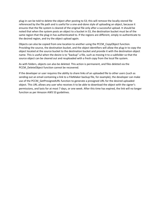plug-in can be told to delete the object after posting to S3; this will remove the locally-stored file referenced by the file path and is useful for a one-and-done style of uploading an object, because it ensures that the file system is cleared of the original file only after a successful upload. It should be noted that when the system posts an object to a bucket in S3, the destination bucket must be of the same region that the plug-in has authenticated to. If the regions are different, simply re-authenticate to the desired region, and try the object upload again.

Objects can also be copied from one location to another using the PCCM\_CopyObject function. Providing the source, the destination bucket, and the object identifiers will allow the plug-in to copy the object located at the source bucket to the destination bucket and provide it with the destination object name. This is useful when the desire is to "backup" a file, such as moving it to a subfolder so that the source object can be cleared out and reuploaded with a fresh copy from the local file system.

As with folders, objects can also be deleted. This action is permanent, and files deleted via the PCCM\_DeleteObject function cannot be recovered.

<span id="page-13-0"></span>If the developer or user requires the ability to share links of an uploaded file to other users (such as sending out an email containing a link to a FileMaker backup file, for example), the developer can make use of the PCCM\_GetPresignedURL function to generate a presigned URL for the desired uploaded object. This URL allows any user who receives it to be able to download the object with the signer's permissions, and lasts for at most 7 days, or one week. After this time has expired, the link will no longer function as per Amazon AWS S3 guidelines.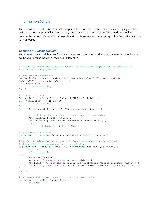### 5. Sample Scripts

The following is a collection of sample scripts that demonstrate some of the uses of the plug-in. These scripts are not complete FileMaker scripts; some sections of the script are "assumed" and will be commented as such. For additional sample scripts, please review the scripting of the Demo file, which is fully unlocked.

#### *Scenario 1: Pull all buckets*

This scenario pulls in all buckets for the authenticated user, storing their associated object key list and count of objects as individual records in FileMaker.

```
# Validation checking to ensure plug-in is installed, registered, authentication
# parameters are populated…
# Perform authentication
Set Variable [ $result; Value: PCCM UseCredentials( "S3" ; Main::gAPIKey ;
Main::gAPISecret ; Main::gRegion ) ]
If [ $result <> 0 ]
       # Error handling…
End If
# List all folders
Set Variable [ $folderList ; Value: PCCM ListAllFolders ]
If [ $folderList = "!!ERROR!!" ]
       # Error handling…
Else
       Go to Layout [ "Buckets"; Table Occurrence:Buckets ]
       # Initialize the loop iterator and max count variables
       Set Variable [ $iter; Value: 1 ]
      Set Variable [ $max; Value: ValueCount ( $folderList ) ]
       Loop
              Exit Loop If [ $iter > $max ]
# Acquire the folder ID
Set Variable [ $folderID; Value: GetValue( $folderList ; $iter ) ]
# Fetch the folder contents; the additional parameters can be omitted,
# which will retrieve data as per the default.
Set Variable [ $result; Value: PCCM_FetchFolderContents( $folderID ) ]
If [ $result <> 0 ]
       # Error handling…
Else
       New Record/Request
       Set Field [ Buckets::Name; Value: $folderID ]
      Set Field [ Buckets::Keys; Value: PCCM GetPropertyForFolderContent( "Keys" ) ]
       Set Field [ Buckets::Count; Value: PCCM_GetPropertyForFolderContent( "Count" ) 
]
End If
# Increment the bucket iterator to get the next bucket
Set Variable [ $iter; Value: $iter + 1 ]
       End Loop
```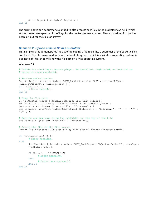```
Go to Layout [ <original layout > ]
End If
```
The script above can be further expanded to also process each key in the Buckets::Keys field (which stores the return-separated list of keys for the bucket) for each bucket. That expansion of scope has been left out for the sake of brevity.

#### *Scenario 2: Upload a file to S3 in a subfolder*

This sample script demonstrates the act of uploading a file to S3 into a subfolder of the bucket called "Archive". The file is assumed to be on the local file system, which is a Windows operating system. A duplicate of this script will show the file path on a Mac operating system.

Windows OS:

```
# Validation checking to ensure plug-in is installed, registered, authentication
# parameters are populated…
# Perform authentication
Set Variable [ $result; Value: PCCM UseCredentials( "S3" ; Main::gAPIKey ;
Main::gAPISecret ; Main::gRegion ) \overline{1}If [ $result <> 0 ]
       # Error handling…
End If
# Prep the file path
Go to Related Record [ Matching Record; Show Only Related ]
Set Variable [ $filePath; Value:"filewin:" & Get(TemporaryPath) & 
GetContainerAttribute( Objects::File ; "filename" ) ]
Set Variable [$winPath; Value:Substitute( $filePath ; [ "filewin:/" ; "" ] ; [ "/" ;
``\backslash\backslash\!\!{''} ] ) ]
# Set the new key name to be the subfolder and the key of the file
Set Variable [$newKey; "Archive/" & Objects::Key]
# Export the file to the file system
Export Field Contents [Objects::File; "$filePath"; Create directories:Off]
If [Get(LastError) <> 0]
       # Error handling…
Else
      Set Variable [ $result ; Value: PCCM PostObject( Objects::BucketID ; $newKey ;
      $winPath ; True )]
      If [$result = "!!ERROR!!"]
              # Error handling…
      Else
              # Upload was successful
      End If
End If
```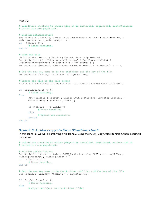#### Mac OS:

```
# Validation checking to ensure plug-in is installed, registered, authentication
# parameters are populated…
# Perform authentication
Set Variable [ $result; Value: PCCM UseCredentials( "S3" ; Main::gAPIKey ;
Main::gAPISecret ; Main::gRegion ) ]
If [ $result <> 0 ]
       # Error handling…
End If
# Prep the file
Go to Related Record [ Matching Record; Show Only Related ]
Set Variable [ $filePath; Value:"filemac:" & Get(TemporaryPath) & 
GetContainerAttribute( Objects::File ; "filename" ) ]
Set Variable [$macPath; Value:Substitute( $filePath ; "filemac:/" ; "" )]
# Set the new key name to be the subfolder and the key of the file
Set Variable [$newKey; "Archive/" & Objects::Key]
# Export the file to the file system
Export Field Contents [Objects::File; "$filePath"; Create directories:Off]
If [Get(LastError) <> 0]
       # Error handling…
Else
      Set Variable [ $result ; Value: PCCM PostObject( Objects::BucketID ;
      Objects:: Key ; $macPath ; True ) ]
      If [$result = "!!ERROR!!"]
              # Error handling…
      Else
              # Upload was successful
      End If
End If
```
#### *Scenario 3: Archive a copy of a file on S3 and then clear it*

In this scenario, we will be archiving a file from S3 using the PCCM\_CopyObject function, then clearing it on success.

```
# Validation checking to ensure plug-in is installed, registered, authentication
# parameters are populated…
# Perform authentication
Set Variable [ $result; Value: PCCM UseCredentials( "S3" ; Main::gAPIKey ;
Main::gAPISecret ; Main::gRegion ) ]
If [ $result <> 0 ]
       # Error handling…
End If
# Set the new key name to be the Archive subfolder and the key of the file
Set Variable [$newKey; "Archive/" & Objects::Key]
If [Get(LastError) <> 0]
       # Error handling…
Else
       # Copy the object to the Archive folder
```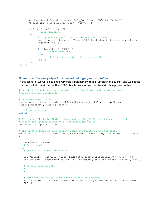```
Set Variable [ $result ; Value: PCCM CopyObject ( Objects::BucketID ;
      Objects::Key ; Objects::BucketID ; $newKey )]
      If [$result = "!!ERROR!!"]
              # Error handling…
      Else
              # Copy was successful, so now delete the old object
             Set Variable [ $result ; Value: PCCM DeleteObject( Objects::BucketID ;
             Objects::Key )]
             If [$result = "!!ERROR!!"]
                     # Error handling…
             Else
                     # Delete successful; file is now archived.
             End If
      End If
End If
```
#### *Scenario 4: Get every object in a bucket belonging in a subfolder*

In this scenario, we will be pulling every object belonging within a subfolder of a bucket, and we expect that the bucket contains more than 1000 objects. We assume that the script is in proper context.

```
# Validation checking to ensure plug-in is installed, registered, authentication
# parameters are populated…
# Perform authentication
Set Variable [ $result; Value: PCCM UseCredentials( "S3" ; Main::gAPIKey ;
Main::gAPISecret ; Main::gRegion ) ]
If [ $result <> 0 ]
   # Error handling…
End If
# Set the prefix to be "2018". When used in PCCM_GetFolder, this will tell S3 to
# return the objects belonging to the subfolder "2018".
Set Variable [$prefix; "2018"]
# The first request is just sending along the bucket ID and the prefix
Set Variable [ $result; Value: PCCM_FetchFolderContents( Objects::BucketID ; $prefix 
)]
If [$result = "!!ERROR!!"]
   # Error handling…
Else
  # Process the bucket properties
   Set Variable [ $keyList; Value: PCCM GetPropertyForFolderContent( "Keys" ; "0" )]
   Set Variable [ $keyCount; Value: PCCM GetPropertyForFolderContent( "Count" ; "0" )]
   # Process each object…
   # ...
   # ...
   # Now check to see if we have more objects to process
   Set Variable [ $truncated; Value: PCCM GetPropertyForFolderContent( "IsTruncated" ;
   "0" )]
```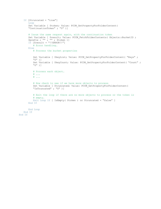```
If [$truncated = "true"]
      Loop
      Set Variable [ $token; Value: PCCM_GetPropertyForFolderContent( 
      "ContinuationToken" ; "0" )]
      # Issue the same request again, with the continuation token
      Set Variable [ $result; Value: PCCM FetchFolderContents ( Objects::BucketID ;
      $prefix ; "" ; "" ; $token )]
      If [$result = "!!ERROR!!"]
          # Error handling…
      Else
          # Process the bucket properties
          Set Variable [ $keyList; Value: PCCM GetPropertyForFolderContent( "Keys" ;
          "0" )]
          Set Variable [ $keyCount; Value: PCCM GetPropertyForFolderContent( "Count" ;
          "0" )]
          # Process each object…
          # ...
          \# . . . .
          # Now check to see if we have more objects to process
          Set Variable [ $truncated; Value: PCCM GetPropertyForFolderContent(
          "IsTruncated" ; "0" )]
          # Exit the loop if there are no more objects to process or the token is
          # empty.
          Exit Loop If [ IsEmpty( $token ) or $truncated = "false" ]
      End If
      End Loop
   End If
End If
```